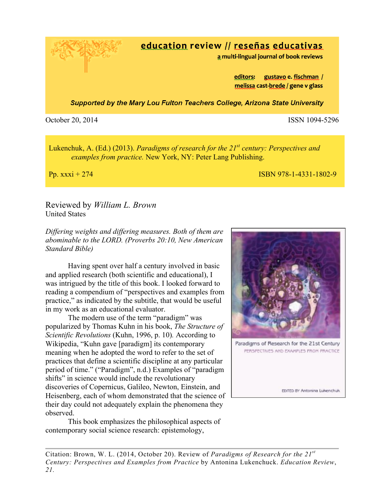education review // reseñas educativas

a multi-lingual journal of book reviews

editors: gustavo e. fischman / melissa cast-brede / gene v glass

**Supported by the Mary Lou Fulton Teachers College, Arizona State University** 

October 20, 2014 ISSN 1094-5296

Lukenchuk, A. (Ed.) (2013). *Paradigms of research for the 21st century: Perspectives and examples from practice.* New York, NY: Peter Lang Publishing.

Pp. xxxi + 274 ISBN 978-1-4331-1802-9

Reviewed by *William L. Brown* United States

*Differing weights and differing measures. Both of them are abominable to the LORD. (Proverbs 20:10, New American Standard Bible)*

Having spent over half a century involved in basic and applied research (both scientific and educational), I was intrigued by the title of this book. I looked forward to reading a compendium of "perspectives and examples from practice," as indicated by the subtitle, that would be useful in my work as an educational evaluator.

The modern use of the term "paradigm" was popularized by Thomas Kuhn in his book, *The Structure of Scientific Revolutions* (Kuhn, 1996, p. 10)*.* According to Wikipedia, "Kuhn gave [paradigm] its contemporary meaning when he adopted the word to refer to the set of practices that define a scientific discipline at any particular period of time." ("Paradigm", n.d.) Examples of "paradigm shifts" in science would include the revolutionary discoveries of Copernicus, Galileo, Newton, Einstein, and Heisenberg, each of whom demonstrated that the science of their day could not adequately explain the phenomena they observed.

This book emphasizes the philosophical aspects of contemporary social science research: epistemology,



Paradigms of Research for the 21st Century PERSPECTIVES AND EXAMPLES FROM PRACTICE

EDITED BY Antonina Lukenchuk

Citation: Brown, W. L. (2014, October 20). Review of *Paradigms of Research for the 21st Century: Perspectives and Examples from Practice* by Antonina Lukenchuck. *Education Review*, *21.*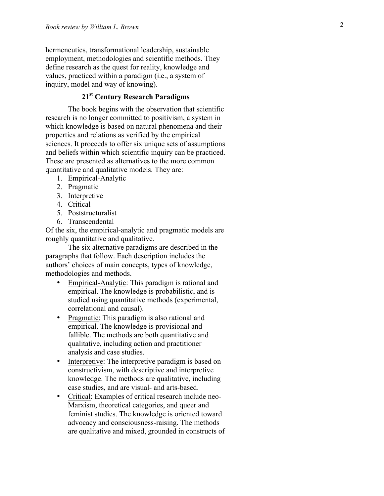hermeneutics, transformational leadership, sustainable employment, methodologies and scientific methods. They define research as the quest for reality, knowledge and values, practiced within a paradigm (i.e., a system of inquiry, model and way of knowing).

## **21st Century Research Paradigms**

The book begins with the observation that scientific research is no longer committed to positivism, a system in which knowledge is based on natural phenomena and their properties and relations as verified by the empirical sciences. It proceeds to offer six unique sets of assumptions and beliefs within which scientific inquiry can be practiced. These are presented as alternatives to the more common quantitative and qualitative models. They are:

- 1. Empirical -Analytic
- 2. Pragmatic
- 3. Interpretive
- 4. Critical
- 5. Poststructuralist
- 6. Transcendental

Of the six, the empirical -analytic and pragmatic models are roughly quantitative and qualitative.

The six alternative paradigms are described in the paragraphs that follow. Each description includes the authors' choices of main concepts, types of knowledge, methodologies and methods.

- Empirical-Analytic: This paradigm is rational and empirical. The knowledge is probabilistic, and is studied using quantitative methods (experimental, correlational and causal).
- Pragmatic: This paradigm is also rational and empirical. The knowledge is provisional and fallible. The methods are both quantitative and qualitative, including action and practitioner analysis and case studies.
- Interpretive: The interpretive paradigm is based on constructivism, with descriptive and interpretive knowledge. The methods are qualitative, including case studies, and are visual - and arts -based.
- Critical: Examples of critical research include neo-Marxism, theoretical categories, and queer and feminist studies. The knowledge is oriented toward advocacy and consciousness -raising. The methods are qualitative and mixed, grounded in constructs of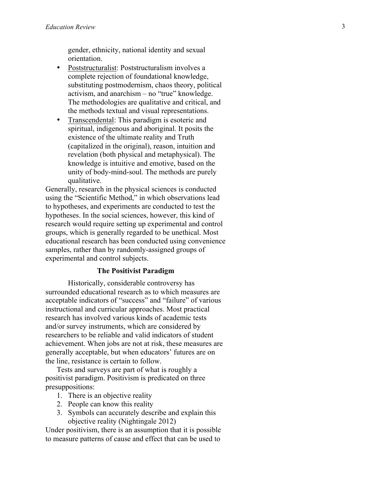gender, ethnicity, national identity and sexual orientation.

- Poststructuralist: Poststructuralism involves a complete rejection of foundational knowledge, substituting postmodernism, chaos theory, political activism, and anarchism – no "true" knowledge. The methodologies are qualitative and critical, and the methods textual and visual representations.
- Transcendental: This paradigm is esoteric and spiritual, indigenous and aboriginal. It posits the existence of the ultimate reality and Truth (capitalized in the original), reason, intuition and revelation (both physical and metaphysical). The knowledge is intuitive and emotive, based on the unity of body -mind -soul. The methods are purely qualitative.

Generally, research in the physical sciences is conducted using the "Scientific Method," in which observations lead to hypotheses, and experiments are conducted to test the hypotheses. In the social sciences, however, this kind of research would require setting up experimental and control groups, which is generally regarded to be unethical. Most educational research has been conducted using convenience samples, rather than by randomly -assigned groups of experimental and control subjects.

### **The Positivist Paradigm**

Historically, considerable controversy has surrounded educational research as to which measures are acceptable indicators of "success" and "failure" of various instructional and curricular approaches. Most practical research has involved various kinds of academic tests and/or survey instruments, which are considered by researchers to be reliable and valid indicators of student achievement. When jobs are not at risk, these measures are generally acceptable, but when educators' futures are on the line, resistance is certain to follow.

Tests and surveys are part of what is roughly a positivist paradigm. Positivism is predicated on three presuppositions:

- 1. There is an objective reality
- 2. People can know this reality
- 3. Symbols can accurately describe and explain this objective reality (Nightingale 2012)

Under positivism, there is an assumption that it is possible to measure patterns of cause and effect that can be used to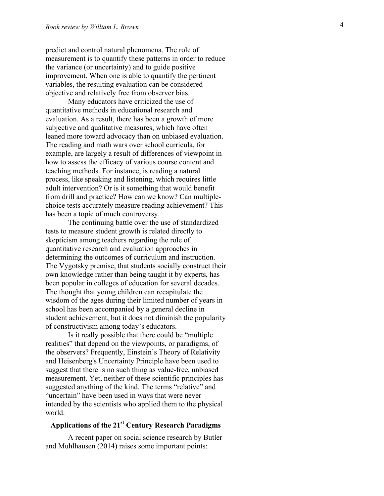predict and control natural phenomena. The role of measurement is to quantify these patterns in order to reduce the variance (or uncertainty) and to guide positive improvement. When one is able to quantify the pertinent variables, the resulting evaluation can be considered objective and relatively free from observer bias.

Many educators have criticized the use of quantitative methods in educational research and evaluation. As a result, there has been a growth of more subjective and qualitative measures, which have often leaned more toward advocacy than on unbiased evaluation. The reading and math wars over school curricula, for example, are largely a result of differences of viewpoint in how to assess the efficacy of various course content and teaching methods. For instance, is reading a natural process, like speaking and listening, which requires little adult intervention? Or is it something that would benefit from drill and practice? How can we know? Can multiple choice tests accurately measure reading achievement? This has been a topic of much controversy.

The continuing battle over the use of standardized tests to measure student growth is related directly to skepticism among teachers regarding the role of quantitative research and evaluation approaches in determining the outcomes of curriculum and instruction. The Vygotsky premise, that students socially construct their own knowledge rather than being taught it by experts, has been popular in colleges of education for several decades. The thought that young children can recapitulate the wisdom of the ages during their limited number of years in school has been accompanied by a general decline in student achievement, but it does not diminish the popularity of constructivism among today's educators.

Is it really possible that there could be "multiple realities" that depend on the viewpoints, or paradigms, of the observers? Frequently, Einstein's Theory of Relativity and Heisenberg's Uncertainty Principle have been used to suggest that there is no such thing as value -free, unbiased measurement. Yet, neither of these scientific principles has suggested anything of the kind. The terms "relative" and "uncertain" have been used in ways that were never intended by the scientists who applied them to the physical world.

# **Applications of the 21st Century Research Paradigms**

A recent paper on social science research by Butler and Muhlhausen (2014) raises some important points: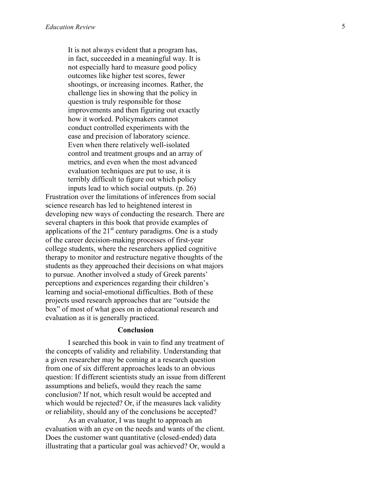It is not always evident that a program has, in fact, succeeded in a meaningful way. It is not especially hard to measure good policy outcomes like higher test scores, fewer shootings, or increasing incomes. Rather, the challenge lies in showing that the policy in question is truly responsible for those improvements and then figuring out exactly how it worked. Policymakers cannot conduct controlled experiments with the ease and precision of laboratory science. Even when there relatively well -isolated control and treatment groups and an array of metrics, and even when the most advanced evaluation techniques are put to use, it is terribly difficult to figure out which policy inputs lead to which social outputs. (p. 26 )

Frustration over the limitations of inferences from social science research has led to heightened interest in developing new ways of conducting the research. There are several chapters in this book that provide examples of applications of the  $21<sup>st</sup>$  century paradigms. One is a study of the career decision -making processes of first -year college students, where the researchers applied cognitive therapy to monitor and restructure negative thoughts of the students as they approached their decisions on what majors to pursue. Another involved a study of Greek parents' perceptions and experiences regarding their children's learning and social -emotional difficulties. Both of these projects used research approaches that are "outside the box" of most of what goes on in educational research and evaluation as it is generally practiced.

#### **Conclusion**

I searched this book in vain to find any treatment of the concepts of validity and reliability. Understanding that a given researcher may be coming at a research question from one of six different approaches leads to an obvious question: If different scientists study an issue from different assumptions and beliefs, would they reach the same conclusion? If not, which result would be accepted and which would be rejected? Or, if the measures lack validity or reliability, should any of the conclusions be accepted?

As an evaluator, I was taught to approach an evaluation with an eye on the needs and wants of the client. Does the customer want quantitative (closed -ended) data illustrating that a particular goal was achieved? Or, would a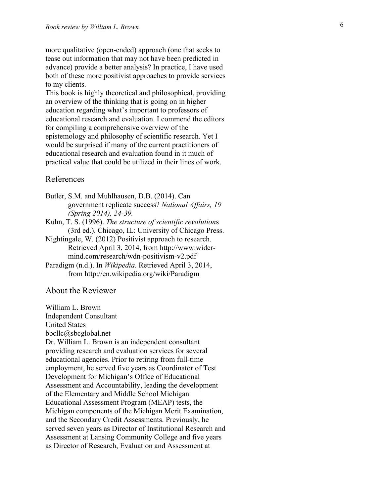more qualitative (open -ended) approach (one that seeks to tease out information that may not have been predicted in advance) provide a better analysis? In practice, I have used both of these more positivist approaches to provide services to my clients.

This book is highly theoretical and philosophical, providing an overview of the thinking that is going on in higher education regarding what's important to professors of educational research and evaluation. I commend the editors for compiling a comprehensive overview of the epistemology and philosophy of scientific research. Yet I would be surprised if many of the current practitioners of educational research and evaluation found in it much of practical value that could be utilized in their lines of work.

# References

- Butler, S.M. and Muhlhausen, D.B. (2014). Can government replicate success? *National Affairs, 19 (Spring 2014), 24 -39 .*
- Kuhn, T. S. (1996). *The structure of scientific revolutions* (3rd ed.). Chicago, IL: University of Chicago Press.
- Nightingale, W. (2012) Positivist approach to research. Retrieved April 3, 2014, from http://www.wider mind.com/research/wdn -positivism -v2.pdf
- Paradigm (n.d.). In *Wikipedia*. Retrieved April 3, 2014, from http://en.wikipedia.org/wiki/Paradigm

## About the Reviewer

William L. Brown

Independent Consultant United States

bbcllc@sbcglobal.net

Dr. William L. Brown is an independent consultant providing research and evaluation services for several educational agencies. Prior to retiring from full-time employment, he served five years as Coordinator of Test Development for Michigan's Office of Educational Assessment and Accountability, leading the development of the Elementary and Middle School Michigan Educational Assessment Program (MEAP) tests, the Michigan components of the Michigan Merit Examination, and the Secondary Credit Assessments. Previously, he served seven years as Director of Institutional Research and Assessment at Lansing Community College and five years as Director of Research, Evaluation and Assessment at